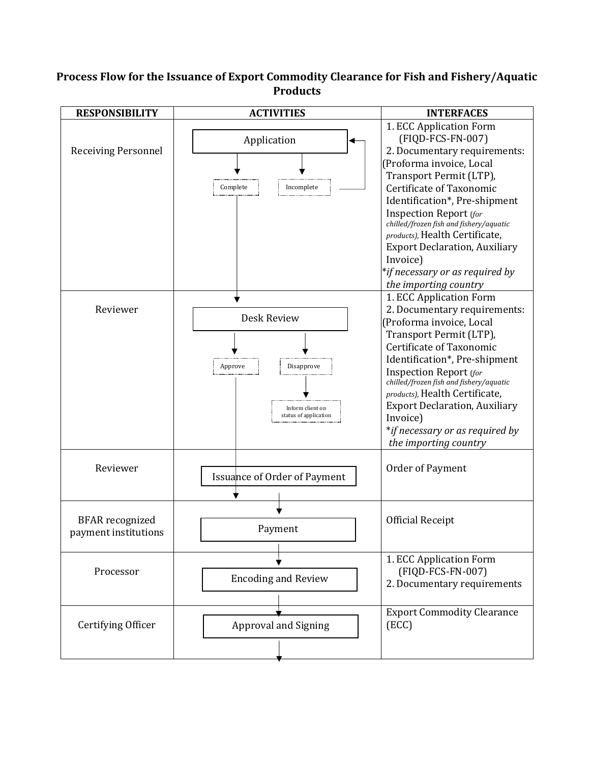## **Process Flow for the Issuance of Export Commodity Clearance for Fish and Fishery/Aquatic Products**